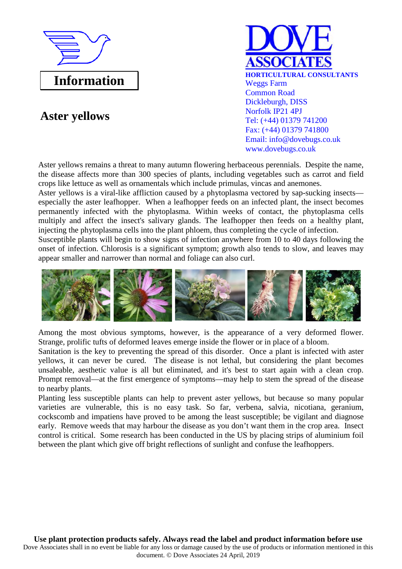

## **Aster yellows**



Aster yellows remains a threat to many autumn flowering herbaceous perennials. Despite the name, the disease affects more than 300 species of plants, including vegetables such as carrot and field crops like lettuce as well as ornamentals which include primulas, vincas and anemones.

Aster yellows is a viral-like affliction caused by a phytoplasma vectored by sap-sucking insects especially the aster leafhopper. When a leafhopper feeds on an infected plant, the insect becomes permanently infected with the phytoplasma. Within weeks of contact, the phytoplasma cells multiply and affect the insect's salivary glands. The leafhopper then feeds on a healthy plant, injecting the phytoplasma cells into the plant phloem, thus completing the cycle of infection.

Susceptible plants will begin to show signs of infection anywhere from 10 to 40 days following the onset of infection. Chlorosis is a significant symptom; growth also tends to slow, and leaves may appear smaller and narrower than normal and foliage can also curl.



Among the most obvious symptoms, however, is the appearance of a very deformed flower. Strange, prolific tufts of deformed leaves emerge inside the flower or in place of a bloom.

Sanitation is the key to preventing the spread of this disorder. Once a plant is infected with aster yellows, it can never be cured. The disease is not lethal, but considering the plant becomes unsaleable, aesthetic value is all but eliminated, and it's best to start again with a clean crop. Prompt removal—at the first emergence of symptoms—may help to stem the spread of the disease to nearby plants.

Planting less susceptible plants can help to prevent aster yellows, but because so many popular varieties are vulnerable, this is no easy task. So far, verbena, salvia, nicotiana, geranium, cockscomb and impatiens have proved to be among the least susceptible; be vigilant and diagnose early. Remove weeds that may harbour the disease as you don't want them in the crop area. Insect control is critical. Some research has been conducted in the US by placing strips of aluminium foil between the plant which give off bright reflections of sunlight and confuse the leafhoppers.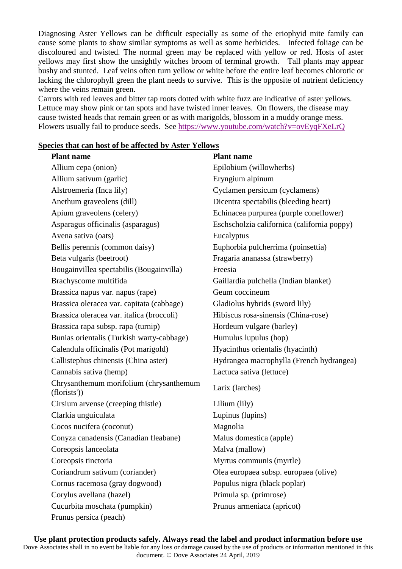Diagnosing Aster Yellows can be difficult especially as some of the eriophyid mite family can cause some plants to show similar symptoms as well as some herbicides. Infected foliage can be discoloured and twisted. The normal green may be replaced with yellow or red. Hosts of aster yellows may first show the unsightly witches broom of terminal growth. Tall plants may appear bushy and stunted. Leaf veins often turn yellow or white before the entire leaf becomes chlorotic or lacking the chlorophyll green the plant needs to survive. This is the opposite of nutrient deficiency where the veins remain green.

Carrots with red leaves and bitter tap roots dotted with white fuzz are indicative of aster yellows. Lettuce may show pink or tan spots and have twisted inner leaves. On flowers, the disease may cause twisted heads that remain green or as with marigolds, blossom in a muddy orange mess. Flowers usually fail to produce seeds. See https://www.youtube.com/watch?v=ovEyqFXeLrQ

## **Species that can host of be affected by Aster Yellows**

| <b>Plant name</b>                                       | <b>Plant name</b>                           |
|---------------------------------------------------------|---------------------------------------------|
| Allium cepa (onion)                                     | Epilobium (willowherbs)                     |
| Allium sativum (garlic)                                 | Eryngium alpinum                            |
| Alstroemeria (Inca lily)                                | Cyclamen persicum (cyclamens)               |
| Anethum graveolens (dill)                               | Dicentra spectabilis (bleeding heart)       |
| Apium graveolens (celery)                               | Echinacea purpurea (purple coneflower)      |
| Asparagus officinalis (asparagus)                       | Eschscholzia californica (california poppy) |
| Avena sativa (oats)                                     | Eucalyptus                                  |
| Bellis perennis (common daisy)                          | Euphorbia pulcherrima (poinsettia)          |
| Beta vulgaris (beetroot)                                | Fragaria ananassa (strawberry)              |
| Bougainvillea spectabilis (Bougainvilla)                | Freesia                                     |
| Brachyscome multifida                                   | Gaillardia pulchella (Indian blanket)       |
| Brassica napus var. napus (rape)                        | Geum coccineum                              |
| Brassica oleracea var. capitata (cabbage)               | Gladiolus hybrids (sword lily)              |
| Brassica oleracea var. italica (broccoli)               | Hibiscus rosa-sinensis (China-rose)         |
| Brassica rapa subsp. rapa (turnip)                      | Hordeum vulgare (barley)                    |
| Bunias orientalis (Turkish warty-cabbage)               | Humulus lupulus (hop)                       |
| Calendula officinalis (Pot marigold)                    | Hyacinthus orientalis (hyacinth)            |
| Callistephus chinensis (China aster)                    | Hydrangea macrophylla (French hydrangea)    |
| Cannabis sativa (hemp)                                  | Lactuca sativa (lettuce)                    |
| Chrysanthemum morifolium (chrysanthemum<br>(florists')) | Larix (larches)                             |
| Cirsium arvense (creeping thistle)                      | Lilium (lily)                               |
| Clarkia unguiculata                                     | Lupinus (lupins)                            |
| Cocos nucifera (coconut)                                | Magnolia                                    |
| Conyza canadensis (Canadian fleabane)                   | Malus domestica (apple)                     |
| Coreopsis lanceolata                                    | Malva (mallow)                              |
| Coreopsis tinctoria                                     | Myrtus communis (myrtle)                    |
| Coriandrum sativum (coriander)                          | Olea europaea subsp. europaea (olive)       |
| Cornus racemosa (gray dogwood)                          | Populus nigra (black poplar)                |
| Corylus avellana (hazel)                                | Primula sp. (primrose)                      |
| Cucurbita moschata (pumpkin)                            | Prunus armeniaca (apricot)                  |
| Prunus persica (peach)                                  |                                             |